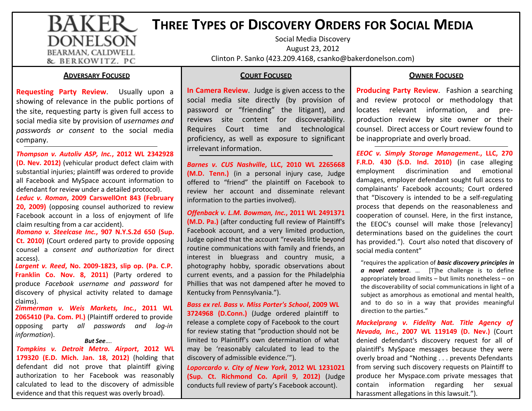### BAKER **THREE<sup>T</sup>YPES OF DISCOVERY<sup>O</sup>RDERS FORSOCIALMEDIADONELSON**

 Social Media DiscoveryAugust 23, 2012Clinton P. Sanko (423.209.4168, csanko@bakerdonelson.com)

### **ADVERSARYFOCUSED**

BEARMAN, CALDWELL & BERKOWITZ, PC

**Requesting Party Review**. Usually upon a showing of relevance in the public portions of the site, requesting party is given full access to social media site by provision of *usernames and passwords or consent* to the social media company.

*Thompson v. Autoliv ASP, Inc.***, 2012 WL 2342928 (D. Nev. 2012)** (vehicular product defect claim with substantial injuries; plaintiff was ordered to provide all Facebook and MySpace account information to defendant for review under a detailed protocol).

*Leduc v. Roman***, 2009 CarswellOnt 843 (February 20, 2009)** (opposing counsel authorized to review Facebook account in a loss of enjoyment of life claim resulting from a car accident).

 *Romano v. Steelcase Inc.***, 907 N.Y.S.2d 650 (Sup. Ct. 2010)** (Court ordered party to provide opposing counsel a *consent and authorization* for direct access).

 *Largent v. Reed***, No. 2009-1823, slip op. (Pa. C.P. Franklin Co. Nov. 8, 2011)** (Party ordered to produce *Facebook username and password* for discovery of physical activity related to damage claims).

*But See*…. *Zimmerman v. Weis Markets, Inc.***, 2011 WL 2065410 (Pa. Com. Pl.)** (Plaintiff ordered to provide opposing party *all passwords and log-in information*).

*Tompkins v. Detroit Metro. Airport***, 2012 WL 179320 (E.D. Mich. Jan. 18, 2012)** (holding that defendant did not prove that plaintiff giving authorization to her Facebook was reasonably calculated to lead to the discovery of admissible evidence and that this request was overly broad).

### **COURTFOCUSED**

**In Camera Review**. Judge is given access to the social media site directly (by provision of password or "friending" the litigant), and reviews site content for discoverability. Requires Court time and technological proficiency, as well as exposure to significant irrelevant information.

*Barnes v. CUS Nashville***, LLC, 2010 WL 2265668 (M.D. Tenn.)** (in a personal injury case, Judge offered to "friend" the plaintiff on Facebook to review her account and disseminate relevant information to the parties involved).

*Offenback v. L.M. Bowman, Inc.***, 2011 WL 2491371 (M.D. Pa.)** (after conducting full review of Plaintiff's Facebook account, and a very limited production, Judge opined that the account "reveals little beyond routine communications with family and friends, an interest in bluegrass and country music, a photography hobby, sporadic observations about current events, and a passion for the Philadelphia Phillies that was not dampened after he moved to Kentucky from Pennsylvania.").

*Bass ex rel. Bass v. Miss Porter's School***, 2009 WL 3724968 (D.Conn.)** (Judge ordered plaintiff to release a complete copy of Facebook to the court for review stating that "production should not be limited to Plaintiff's own determination of what may be 'reasonably calculated to lead to the discovery of admissible evidence.'").

*Loporcardo v. City of New York***, 2012 WL 1231021 (Sup. Ct. Richmond Co. April 9, 2012)** (Judge conducts full review of party's Facebook account).

### **OWNERFOCUSED**

**Producing Party Review**. Fashion a searching and review protocol or methodology that locates relevant information, and preproduction review by site owner or their counsel. Direct access or Court review found to be inappropriate and overly broad.

*EEOC v. Simply Storage Management.***, LLC, 270 F.R.D. 430 (S.D. Ind. 2010)** (in case alleging employment discrimination and emotional damages, employer defendant sought full access to complainants' Facebook accounts; Court ordered that "Discovery is intended to be a self-regulating process that depends on the reasonableness and cooperation of counsel. Here, in the first instance, the EEOC's counsel will make those [relevancy] determinations based on the guidelines the court has provided."). Court also noted that discovery of social media content"

"requires the application of *basic discovery principles in a novel context*. … [T]he challenge is to define appropriately broad limits – but limits nonetheless – on the discoverability of social communications in light of a subject as amorphous as emotional and mental health, and to do so in a way that provides meaningful direction to the parties."

*Mackelprang v. Fidelity Nat. Title Agency of Nevada, Inc.***, 2007 WL 119149 (D. Nev.)** (Court denied defendant's discovery request for all of plaintiff's MySpace messages because they were overly broad and "Nothing . . . prevents Defendants from serving such discovery requests on Plaintiff to produce her Myspace.com private messages that contain information regarding her sexual harassment allegations in this lawsuit.").